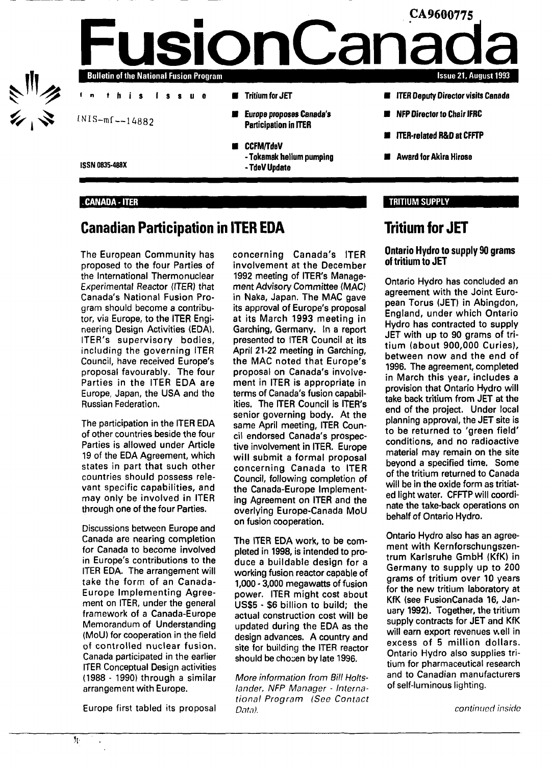

### **.CANADA-**ITER

# **Canadian Participation in ITER EDA**

The European Community has proposed to the four Parties of the International Thermonuclear Experimental Reactor (ITER) that Canada's National Fusion Program should become a contributor, via Europe, to the ITER Engineering Design Activities (EDA). ITER's supervisory bodies, including the governing ITER Council, have received Europe's proposal favourably. The four Parties in the ITER EDA are Europe, Japan, the USA and the Russian Federation.

The participation in the ITER EDA of other countries beside the four Parties is allowed under Article 19 of the EDA Agreement, which states in part that such other countries should possess relevant specific capabilities, and may only be involved in ITER through one of the four Parties.

Discussions between Europe and Canada are nearing completion for Canada to become involved in Europe's contributions to the ITER EDA. The arrangement will take the form of an Canada-Europe Implementing Agreement on ITER, under the general framework of a Canada-Europe Memorandum of Understanding (MoU) for cooperation in the field of controlled nuclear fusion. Canada participated in the earlier ITER Conceptual Design activities (1988 - 1990) through a similar arrangement with Europe.

Europe first tabled its proposal

concerning Canada's ITER involvement at the December 1992 meeting of ITER's Management Advisory Committee (MAC) in Naka, Japan. The MAC gave its approval of Europe's proposal at its March 1993 meeting in Garching, Germany. In a report presented to ITER Council at its April 21-22 meeting in Garching, the MAC noted that Europe's proposal on Canada's involvement in ITER is appropriate in terms of Canada's fusion capabilities. The ITER Council is ITER's senior governing body. At the same April meeting, ITER Council endorsed Canada's prospective involvement in ITER. Europe will submit a formal proposal concerning Canada to ITER Council, following completion of the Canada-Europe Implementing Agreement on ITER and the overlying Europe-Canada MoU on fusion cooperation.

The ITER EDA work, to be completed in 1998, is intended to produce a buildable design for a working fusion reactor capable of 1,000 - 3,000 megawatts of fusion power. ITER might cost about US\$5 - \$6 billion to build; the actual construction cost will be updated during the EDA as the design advances. A country and site for building the ITER reactor should be chosen by late 1996.

More information from Bill Holtslander, NFP Manager - International Program (See Contact Data).

# **Tritium for JET**

TRITIUM SUPPLY

### **Ontario Hydro to supply 90 grams of tritium to JET**

Ontario Hydro has concluded an agreement with the Joint European Torus (JET) in Abingdon, England, under which Ontario Hydro has contracted to supply JET with up to 90 grams of tritium (about 900,000 Curies), between now and the end of 1996. The agreement, completed in March this year, includes a provision that Ontario Hydro will take back tritium from JET at the end of the project. Under local planning approval, the JET site is to be returned to 'green field' conditions, and no radioactive material may remain on the site beyond a specified time. Some of the tritium returned to Canada will be in the oxide form as tritiated light water. CFFTP will coordinate the take-back operations on behalf of Ontario Hydro.

Ontario Hydro also has an agreement with Kernforschungszentrum Karlsruhe GmbH (KfK) in Germany to supply up to 200 grams of tritium over 10 years for the new tritium laboratory at KfK (see FusionCanada 16, January 1992). Together, the tritium supply contracts for JET and KfK will earn export revenues well in excess of 5 million dollars. Ontario Hydro also supplies tritium for pharmaceutical research and to Canadian manufacturers of self-luminous lighting.

continued inside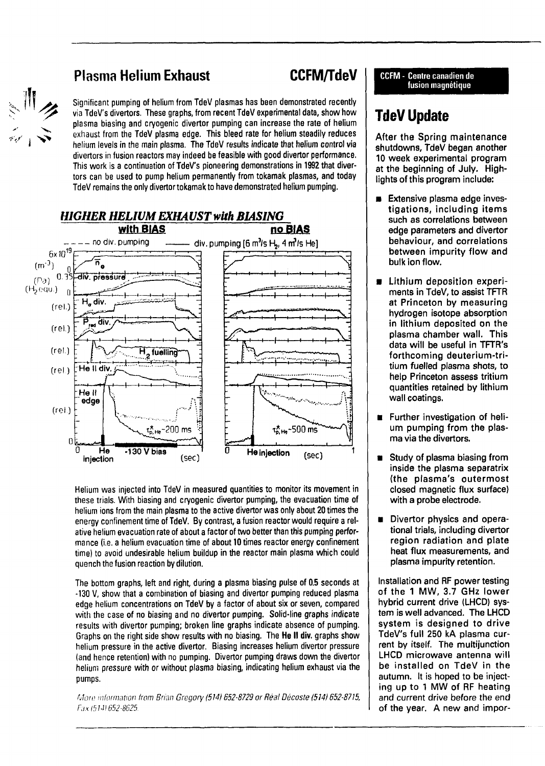# 

# **Plasma Helium Exhaust CCFM/TdeV**

Significant pumping of helium from TdeV plasmas has been demonstrated recently via TdeV's divertors. These graphs, from recent TdeV experimental data, show how plasma biasing and cryogenic divertor pumping can increase the rate of helium exhaust from the TdeV plasma edge. This bleed rate for helium steadily reduces helium levels in the main plasma. The TdeV results indicate that helium control via divertors in fusion reactors may indeed be feasible with good divertor performance. This work is a continuation of TdeV's pioneering demonstrations in 1992 that divertors can be used to pump helium permanently from tokamak plasmas, and today TdeV remains the only divertor tokamak to have demonstrated helium pumping.



Helium was injected into TdeV in measured quantities to monitor its movement in these trials. With biasing and cryogenic divertor pumping, the evacuation time of helium ions from the main plasma to the active divertor was only about 20 times the energy confinement time of TdeV. By contrast, a fusion reactor would require a relative helium evacuation rate of about a factor of two better than this pumping performance (i.e. a helium evacuation time of about 10 times reactor energy confinement time) to avoid undesirable helium buildup in the reactor main plasma which could quench the fusion reaction by dilution.

The bottom graphs, left and right, during a plasma biasing pulse of 0.5 seconds at -130 V, show that a combination of biasing and divertor pumping reduced plasma edge helium concentrations on TdeV by a factor of about six or seven, compared with the case of no biasing and no divertor pumping. Solid-line graphs indicate results with divertor pumping; broken line graphs indicate absence of pumping. Graphs on the right side show results with no biasing. The He II div. graphs show helium pressure in the active divertor. Biasing increases helium divertor pressure (and hence retention) with no pumping. Divertor pumping draws down the divertor **helium pressure with or without plasma biasing, indicating helium exhaust via the pumps.**

More information from Brian Gregory (514) 652-8729 or Réal Décoste (514) 652-8715, Rix (514)652-8625.

**CCFM - Centre canadien de fusion magnétique**

# **TdeV Update**

After the Spring maintenance shutdowns, TdeV began another 10 week experimental program at the beginning of July. Highlights of this program include:

- Extensive plasma edge investigations, including items such as correlations between edge parameters and divertor behaviour, and correlations between impurity flow and bulk ion flow.
- Lithium deposition experiments in TdeV, to assist TFTR at Princeton by measuring hydrogen isotope absorption in lithium deposited on the plasma chamber wall. This data will be useful in TFTR's forthcoming deuterium-tritium fuelled plasma shots, to help Princeton assess tritium quantities retained by lithium wall coatings.
- Further investigation of helium pumping from the plasma via the divertors.
- Study of plasma biasing from inside the plasma separatrix (the plasma's outermost closed magnetic flux surface) with a probe electrode.
- $\blacksquare$  Divertor physics and operational trials, including divertor region radiation and plate heat flux measurements, and plasma impurity retention.

Installation and RF power testing of the 1 MW, 3.7 GHz lower hybrid current drive (LHCD) system is well advanced. The LHCD system is designed to drive TdeV's full 250 kA plasma current by itself. The multijunction LHCD microwave antenna will be installed on TdeV in the autumn. It is hoped to be injecting up to 1 MW of RF heating and current drive before the end of the year. A new and impor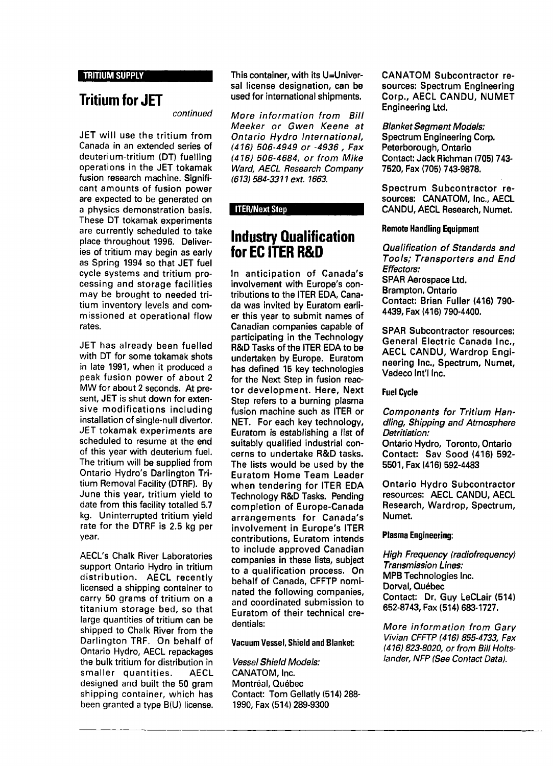TRITIUM SUPPLY

# **Tritium for JET**

continued

JET will use the tritium from Canada in an extended series of deuterium-tritium (DT) fuelling operations in the JET tokamak fusion research machine. Significant amounts of fusion power are expected to be generated on a physics demonstration basis. These DT tokamak experiments are currently scheduled to take place throughout 1996. Deliveries of tritium may begin as early as Spring 1994 so that JET fuel cycle systems and tritium processing and storage facilities may be brought to needed tritium inventory levels and commissioned at operational flow rates.

JET has already been fuelled with DT for some tokamak shots in late 1991, when it produced a peak fusion power of about 2 MW for about 2 seconds. At present, JET is shut down for extensive modifications including installation of single-null divertor. JET tokamak experiments are scheduled to resume at the end of this year with deuterium fuel. The tritium will be supplied from Ontario Hydro's Darlington Tritium Removal Facility (DTRF). By June this year, tritium yield to date from this facility totalled 5.7 kg. Uninterrupted tritium yield rate for the DTRF is 2.5 kg per year.

AECL's Chalk River Laboratories support Ontario Hydro in tritium distribution. AECL recently licensed a shipping container to carry 50 grams of tritium on a titanium storage bed, so that large quantities of tritium can be shipped to Chalk River from the Darlington TRF. On behalf of Ontario Hydro, AECL repackages the bulk tritium for distribution in smaller quantities. AECL designed and built the 50 gram shipping container, which has been granted a type B(U) license. This container, with its U=Universal license designation, can be used for international shipments.

More information from Bill Meeker or Gwen Keene at Ontario Hydro International, (416) 506-4949 or -4936 , Fax (416) 506-4684, or from Mike Ward, AECL Research Company (613) 584-3311 ext. 1663.

### ITER/Next Step

# **Industry Qualification for EC ITER R&D**

In anticipation of Canada's involvement with Europe's contributions to the ITER EDA, Canada was invited by Euratom earlier this year to submit names of Canadian companies capable of participating in the Technology R&D Tasks of the ITER EDA to be undertaken by Europe. Euratom has defined 15 key technologies for the Next Step in fusion reactor development. Here, Next Step refers to a burning plasma fusion machine such as ITER or NET. For each key technology, Euratom is establishing a list of suitably qualified industrial concerns to undertake R&D tasks. The lists would be used by the Euratom Home Team Leader when tendering for ITER EDA Technology R&D Tasks. Pending completion of Europe-Canada arrangements for Canada's involvement in Europe's ITER contributions, Euratom intends to include approved Canadian companies in these lists, subject to a qualification process. On lo a quanncation process. On<br>helf of Canada, CEFTP cani nated the following companies, nated the following companies, and coordinated submission to Euratom of their technical cre-<br>dentials:

Vacuum Vessel, Shield and Blanket:

Vessel Shield Models: CANATOM, Inc. Montréal, Québec Contact: Tom Gellatly (514) 288- 1990, Fax (514) 289-9300

CANATOM Subcontractor resources: Spectrum Engineering Corp., AECL CANDU, NUMET Engineering Ltd.

Blanket Segment Models: Spectrum Engineering Corp. Peterborough, Ontario Contact: Jack Richman (705) 743- 7520, Fax (705) 743-9878.

Spectrum Subcontractor resources: CANATOM, Inc., AECL CANDU, AECL Research, Numet.

### Remote Handling Equipment

Qualification of Standards and Tools; Transporters and End Effectors: SPAR Aerospace Ltd. Brampton, Ontario Contact: Brian Fuller (416) 790- 4439, Fax (416) 790-4400.

SPAR Subcontractor resources: General Electric Canada Inc., AECL CANDU, Wardrop Engineering Inc., Spectrum, Numet, Vadeco Int'l Inc.

### Fuel Cycle

Components for Tritium Handling, Shipping and Atmosphere Detritiation:

Ontario Hydro, Toronto, Ontario Contact: Sav Sood (416) 592- 5501, Fax (416) 592-4483

Ontario Hydro Subcontractor resources: AECL CANDU, AECL Research, Wardrop, Spectrum, Numet.

### Plasma Engineering:

High Frequency (radiofrequency) Transmission Lines: MPB Technologies Inc. Dorval, Québec Contact: Dr. Guy LeCLair (514) 652-8743, Fax (514) 683-1727.

More information from Gary Vivian CFFTP (416) 855-4733, Fax (416) 823-8020, or from Bill Holtslander, NFP (See Contact Data).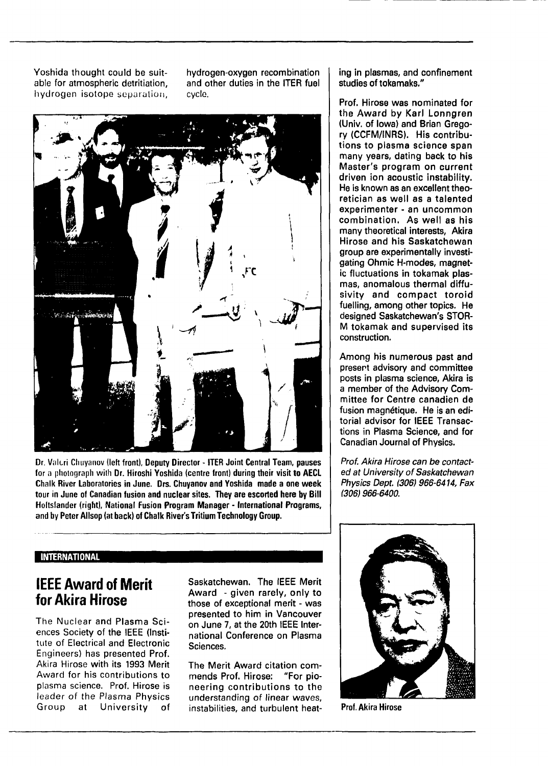Yoshida thought could be suit-<br>able for atmospheric detritiation. and other duties in the ITER fuel able for atmospheric detritiation. hydrogen isotope separation, cycle.



Dr. Valeri Chuyanov (left front), Deputy Director - ITER Joint Central Team, pauses for a photograph with Dr. Hiroshi Yoshida (centre front) during their visit to AECL Chalk River Laboratories in June. Drs. Chuyanov and Yoshida made a one week tour in June of Canadian fusion and nuclear sites. They are escorted here by Bill Holtslander (right), National Fusion Program Manager - International Programs, and by Peter Allsop (at back) of Chalk River's Tritium Technology Group.

ing in plasmas, and confinement studies of tokamaks."

Prof. Hirose was nominated for the Award by Karl Lonngren (Univ. of Iowa) and Brian Gregory (CCFM/INRS). His contributions to plasma science span many years, dating back to his Master's program on current driven ion acoustic instability. He is known as an excellent theoretician as well as a talented experimenter - an uncommon combination. As well as his many theoretical interests, Akira Hirose and his Saskatchewan group are experimentally investigating Ohmic H-modes, magnetic fluctuations in tokamak plasmas, anomalous thermal diffusivity and compact toroid fuelling, among other topics. He designed Saskatchewan's STOR-M tokamak and supervised its construction.

Among his numerous past and present advisory and committee posts in plasma science, Akira is a member of the Advisory Committee for Centre canadien de fusion magnétique. He is an editorial advisor for IEEE Transactions in Plasma Science, and for Canadian Journal of Physics.

Prof. Akira Hirose can be contacted at University of Saskatchewan Physics Dept. (306) 966-6414, Fax (306) 966-6400.

## INTERNATIONAL

# **IEEE Award of Merit for Akira Hirose**

The Nuclear and Plasma Sciences Society of the IEEE (Institute of Electrical and Electronic Engineers) has presented Prof. Akira Hirose with its 1993 Merit Award for his contributions to plasma science. Prof. Hirose is leader of the Plasma Physics Group at University of Saskatchewan. The IEEE Merit Award - given rarely, only to those of exceptional merit - was presented to him in Vancouver on June 7, at the 20th IEEE International Conference on Plasma Sciences.

The Merit Award citation commends Prof. Hirose: "For pioneering contributions to the understanding of linear waves, instabilities, and turbulent heat-



Prof. Akira Hirose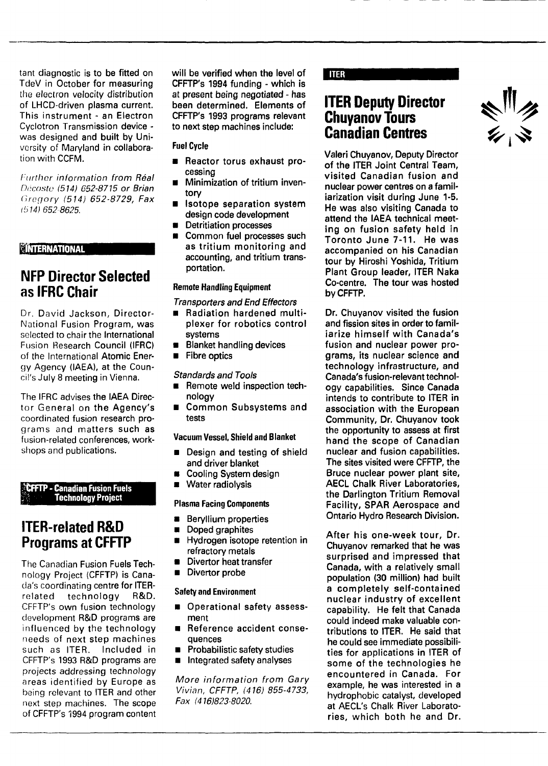tant diagnostic is **to** be **fitted on** TdeV in October for measuring the electron velocity **distribution** of **LHCD-driven plasma current.** This **instrument** - **an Electron** Cyclotron Transmission device was designed and **built by** University of Maryland in collaboration with **CCFM.**

Further information from Réal Décoste (514) 652-8715 or Brian Gregory (514) 652-8729, Fax (514) 652-8625.

### *<u><b>INTERNATIONAL</u>*

# NFP Director Selected as IFRC Chair

Dr. David Jackson, Director-National Fusion Program, was selected to chair the International Fusion Research Council **(IFRC)** of the International Atomic Energy Agency (IAEA), at the Council's July 8 meeting in Vienna.

The IFRC advises the IAEA Director General on the Agency's coordinated fusion research programs and matters such as fusion-related conferences, workshops and publications.

### **yCFFTP-Canadian Fusion Fuels Technology Project**

# ITER-related R&D Programs at **CFFTP**

The Canadian Fusion Fuels Technology Project (CFFTP) is Canada's coordinating centre for ITERrelated technology R&D. CFFTP's own fusion technology development R&D programs are influenced by the technology needs of next step machines such as ITER. Included in CFFTP's 1993 R&D programs are projects addressing technology areas identified by Europe as being relevant to ITER and other next step machines. The scope of CFFTP's 1994 program content **will be verified when the level of CFFTP's 1994 funding - which is at present being negotiated - has been determined. Elements of CFFTP's 1993 programs relevant to next step machines include:**

### **Fuel Cycle**

- **Reactor torus exhaust processing**
- **Minimization of tritium inventory**
- **Isotope separation system design code development**
- **Detritiation processes**
- **Common fuel processes such as tritium monitoring and accounting, and tritium transportation.**

## **Remote Handling Equipment**

- **Transporters and End Effectors**
- **m Radiation hardened multiplexer for robotics control systems**
- **Blanket handling devices**
- **Fibre optics**

### **Standards and Tools**

- **Remote weld inspection technology**
- **Common Subsystems and tests**

### **Vacuum Vessel, Shield and Blanket**

- **Design and testing of shield and driver blanket**
- **Cooling System design**
- **Water radiolysis**

### **Plasma Facing Components**

- **Beryllium properties**
- $\blacksquare$ **Doped graphites**
- **Hydrogen isotope retention in**  $\blacksquare$ **refractory metals**
- **Divertor heat transfer**
- Divertor probe

### **Safety and Environment**

- **Operational safety assessment**
- **Reference accident consequences**
- **Probabilistic safety studies**
- **Integrated safety analyses**

More information from Gary Vivian, CFFTP, (416) 855-4733, Fax (416)823-8020.

### **TTER**

# **ITER Deputy Director Chuyanov Tours Canadian Centres**

**Valeri Chuyanov, Deputy Director of the ITER Joint Central Team, visited Canadian fusion and nuclear power centres on a familiarization visit during June 1-5. He was also visiting Canada to attend the IAEA technical meeting on fusion safety held in Toronto June 7-11. He was accompanied on his Canadian tour by Hiroshi Yoshida, Tritium Plant Group leader, ITER Naka Co-centre. The tour was hosted by CFFTP.**

**Dr. Chuyanov visited the fusion and fission sites in order to familiarize himself with Canada's fusion and nuclear power programs, its nuclear science and technology infrastructure, and Canada's fusion-relevant technology capabilities. Since Canada intends to contribute to ITER in association with the European Community, Dr. Chuyanov took the opportunity to assess at first hand the scope of Canadian nuclear and fusion capabilities. The sites visited were CFFTP, the Bruce nuclear power plant site, AECL Chalk River Laboratories, the Darlington Tritium Removal Facility, SPAR Aerospace and Ontario Hydro Research Division.**

**After his one-week tour, Dr. Chuyanov remarked that he was surprised and impressed that Canada, with a relatively small population (30 million) had built a completely self-contained nuclear industry of excellent capability. He felt that Canada could indeed make valuable contributions to ITER. He said that he could see immediate possibilities for applications in ITER of some of the technologies he encountered** in **Canada. For example, he was interested in a** hydrophobic catalyst, **developed** at **AECL's Chalk** River **Laboratories, which both he and Dr.**